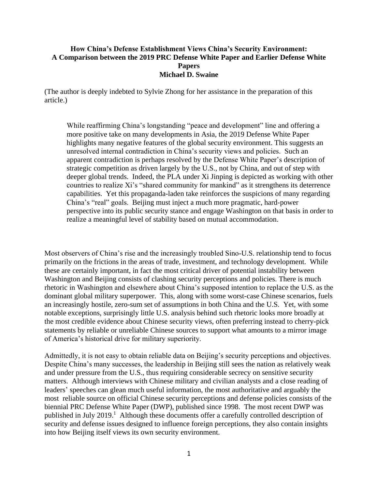#### **How China's Defense Establishment Views China's Security Environment: A Comparison between the 2019 PRC Defense White Paper and Earlier Defense White Papers Michael D. Swaine**

(The author is deeply indebted to Sylvie Zhong for her assistance in the preparation of this article.)

While reaffirming China's longstanding "peace and development" line and offering a more positive take on many developments in Asia, the 2019 Defense White Paper highlights many negative features of the global security environment. This suggests an unresolved internal contradiction in China's security views and policies. Such an apparent contradiction is perhaps resolved by the Defense White Paper's description of strategic competition as driven largely by the U.S., not by China, and out of step with deeper global trends. Indeed, the PLA under Xi Jinping is depicted as working with other countries to realize Xi's "shared community for mankind" as it strengthens its deterrence capabilities. Yet this propaganda-laden take reinforces the suspicions of many regarding China's "real" goals. Beijing must inject a much more pragmatic, hard-power perspective into its public security stance and engage Washington on that basis in order to realize a meaningful level of stability based on mutual accommodation.

Most observers of China's rise and the increasingly troubled Sino-U.S. relationship tend to focus primarily on the frictions in the areas of trade, investment, and technology development. While these are certainly important, in fact the most critical driver of potential instability between Washington and Beijing consists of clashing security perceptions and policies. There is much rhetoric in Washington and elsewhere about China's supposed intention to replace the U.S. as the dominant global military superpower. This, along with some worst-case Chinese scenarios, fuels an increasingly hostile, zero-sum set of assumptions in both China and the U.S. Yet, with some notable exceptions, surprisingly little U.S. analysis behind such rhetoric looks more broadly at the most credible evidence about Chinese security views, often preferring instead to cherry-pick statements by reliable or unreliable Chinese sources to support what amounts to a mirror image of America's historical drive for military superiority.

Admittedly, it is not easy to obtain reliable data on Beijing's security perceptions and objectives. Despite China's many successes, the leadership in Beijing still sees the nation as relatively weak and under pressure from the U.S., thus requiring considerable secrecy on sensitive security matters. Although interviews with Chinese military and civilian analysts and a close reading of leaders' speeches can glean much useful information, the most authoritative and arguably the most reliable source on official Chinese security perceptions and defense policies consists of the biennial PRC Defense White Paper (DWP), published since 1998. The most recent DWP was published in July 2019.<sup>1</sup> Although these documents offer a carefully controlled description of security and defense issues designed to influence foreign perceptions, they also contain insights into how Beijing itself views its own security environment.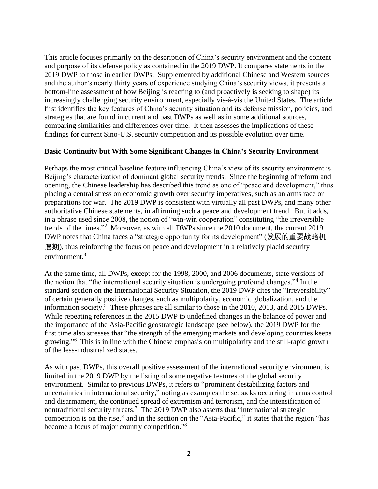This article focuses primarily on the description of China's security environment and the content and purpose of its defense policy as contained in the 2019 DWP. It compares statements in the 2019 DWP to those in earlier DWPs. Supplemented by additional Chinese and Western sources and the author's nearly thirty years of experience studying China's security views, it presents a bottom-line assessment of how Beijing is reacting to (and proactively is seeking to shape) its increasingly challenging security environment, especially vis-à-vis the United States. The article first identifies the key features of China's security situation and its defense mission, policies, and strategies that are found in current and past DWPs as well as in some additional sources, comparing similarities and differences over time. It then assesses the implications of these findings for current Sino-U.S. security competition and its possible evolution over time.

### **Basic Continuity but With Some Significant Changes in China's Security Environment**

Perhaps the most critical baseline feature influencing China's view of its security environment is Beijing's characterization of dominant global security trends. Since the beginning of reform and opening, the Chinese leadership has described this trend as one of "peace and development," thus placing a central stress on economic growth over security imperatives, such as an arms race or preparations for war. The 2019 DWP is consistent with virtually all past DWPs, and many other authoritative Chinese statements, in affirming such a peace and development trend. But it adds, in a phrase used since 2008, the notion of "win-win cooperation" constituting "the irreversible trends of the times." 2 Moreover, as with all DWPs since the 2010 document, the current 2019 DWP notes that China faces a "strategic opportunity for its development" (发展的重要战略机 遇期), thus reinforcing the focus on peace and development in a relatively placid security environment.<sup>3</sup>

At the same time, all DWPs, except for the 1998, 2000, and 2006 documents, state versions of the notion that "the international security situation is undergoing profound changes."<sup>4</sup> In the standard section on the International Security Situation, the 2019 DWP cites the "irreversibility" of certain generally positive changes, such as multipolarity, economic globalization, and the information society. 5 These phrases are all similar to those in the 2010, 2013, and 2015 DWPs. While repeating references in the 2015 DWP to undefined changes in the balance of power and the importance of the Asia-Pacific geostrategic landscape (see below), the 2019 DWP for the first time also stresses that "the strength of the emerging markets and developing countries keeps growing."<sup>6</sup> This is in line with the Chinese emphasis on multipolarity and the still-rapid growth of the less-industrialized states.

As with past DWPs, this overall positive assessment of the international security environment is limited in the 2019 DWP by the listing of some negative features of the global security environment. Similar to previous DWPs, it refers to "prominent destabilizing factors and uncertainties in international security," noting as examples the setbacks occurring in arms control and disarmament, the continued spread of extremism and terrorism, and the intensification of nontraditional security threats.<sup>7</sup> The 2019 DWP also asserts that "international strategic competition is on the rise," and in the section on the "Asia-Pacific," it states that the region "has become a focus of major country competition."<sup>8</sup>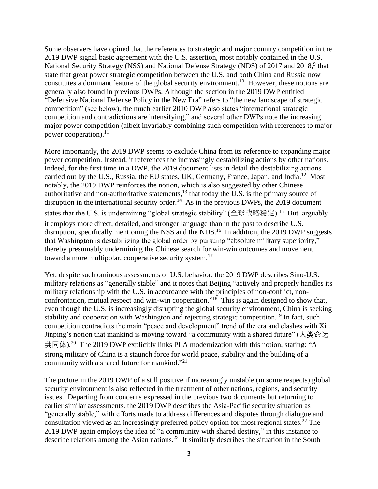Some observers have opined that the references to strategic and major country competition in the 2019 DWP signal basic agreement with the U.S. assertion, most notably contained in the U.S. National Security Strategy (NSS) and National Defense Strategy (NDS) of 2017 and 2018,<sup>9</sup> that state that great power strategic competition between the U.S. and both China and Russia now constitutes a dominant feature of the global security environment.<sup>10</sup> However, these notions are generally also found in previous DWPs. Although the section in the 2019 DWP entitled "Defensive National Defense Policy in the New Era" refers to "the new landscape of strategic competition" (see below), the much earlier 2010 DWP also states "international strategic competition and contradictions are intensifying," and several other DWPs note the increasing major power competition (albeit invariably combining such competition with references to major power cooperation).<sup>11</sup>

More importantly, the 2019 DWP seems to exclude China from its reference to expanding major power competition. Instead, it references the increasingly destabilizing actions by other nations. Indeed, for the first time in a DWP, the 2019 document lists in detail the destabilizing actions carried out by the U.S., Russia, the EU states, UK, Germany, France, Japan, and India.<sup>12</sup> Most notably, the 2019 DWP reinforces the notion, which is also suggested by other Chinese authoritative and non-authoritative statements, $13$  that today the U.S. is the primary source of disruption in the international security order.<sup>14</sup> As in the previous DWPs, the 2019 document states that the U.S. is undermining "global strategic stability" (全球战略稳定).<sup>15</sup> But arguably it employs more direct, detailed, and stronger language than in the past to describe U.S. disruption, specifically mentioning the NSS and the NDS.<sup>16</sup> In addition, the 2019 DWP suggests that Washington is destabilizing the global order by pursuing "absolute military superiority," thereby presumably undermining the Chinese search for win-win outcomes and movement toward a more multipolar, cooperative security system.<sup>17</sup>

Yet, despite such ominous assessments of U.S. behavior, the 2019 DWP describes Sino-U.S. military relations as "generally stable" and it notes that Beijing "actively and properly handles its military relationship with the U.S. in accordance with the principles of non-conflict, nonconfrontation, mutual respect and win-win cooperation."<sup>18</sup> This is again designed to show that, even though the U.S. is increasingly disrupting the global security environment, China is seeking stability and cooperation with Washington and rejecting strategic competition.<sup>19</sup> In fact, such competition contradicts the main "peace and development" trend of the era and clashes with Xi Jinping's notion that mankind is moving toward "a community with a shared future" (人类命运 共同体).<sup>20</sup> The 2019 DWP explicitly links PLA modernization with this notion, stating: "A strong military of China is a staunch force for world peace, stability and the building of a community with a shared future for mankind."<sup>21</sup>

The picture in the 2019 DWP of a still positive if increasingly unstable (in some respects) global security environment is also reflected in the treatment of other nations, regions, and security issues. Departing from concerns expressed in the previous two documents but returning to earlier similar assessments, the 2019 DWP describes the Asia-Pacific security situation as "generally stable," with efforts made to address differences and disputes through dialogue and consultation viewed as an increasingly preferred policy option for most regional states.<sup>22</sup> The 2019 DWP again employs the idea of "a community with shared destiny," in this instance to describe relations among the Asian nations.<sup>23</sup> It similarly describes the situation in the South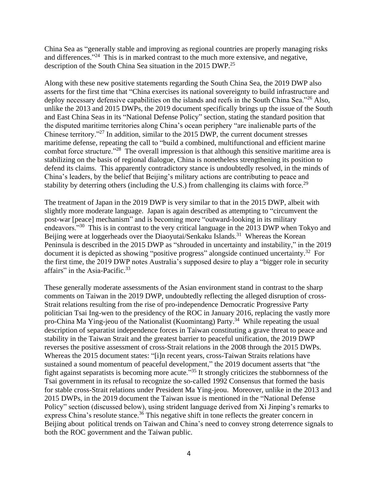China Sea as "generally stable and improving as regional countries are properly managing risks and differences."<sup>24</sup> This is in marked contrast to the much more extensive, and negative, description of the South China Sea situation in the 2015 DWP.<sup>25</sup>

Along with these new positive statements regarding the South China Sea, the 2019 DWP also asserts for the first time that "China exercises its national sovereignty to build infrastructure and deploy necessary defensive capabilities on the islands and reefs in the South China Sea."<sup>26</sup> Also, unlike the 2013 and 2015 DWPs, the 2019 document specifically brings up the issue of the South and East China Seas in its "National Defense Policy" section, stating the standard position that the disputed maritime territories along China's ocean periphery "are inalienable parts of the Chinese territory."<sup>27</sup> In addition, similar to the 2015 DWP, the current document stresses maritime defense, repeating the call to "build a combined, multifunctional and efficient marine combat force structure."<sup>28</sup> The overall impression is that although this sensitive maritime area is stabilizing on the basis of regional dialogue, China is nonetheless strengthening its position to defend its claims. This apparently contradictory stance is undoubtedly resolved, in the minds of China's leaders, by the belief that Beijing's military actions are contributing to peace and stability by deterring others (including the U.S.) from challenging its claims with force.<sup>29</sup>

The treatment of Japan in the 2019 DWP is very similar to that in the 2015 DWP, albeit with slightly more moderate language. Japan is again described as attempting to "circumvent the post-war [peace] mechanism" and is becoming more "outward-looking in its military endeavors."<sup>30</sup> This is in contrast to the very critical language in the 2013 DWP when Tokyo and Beijing were at loggerheads over the Diaoyutai/Senkaku Islands.<sup>31</sup> Whereas the Korean Peninsula is described in the 2015 DWP as "shrouded in uncertainty and instability," in the 2019 document it is depicted as showing "positive progress" alongside continued uncertainty.<sup>32</sup> For the first time, the 2019 DWP notes Australia's supposed desire to play a "bigger role in security affairs" in the Asia-Pacific.<sup>33</sup>

These generally moderate assessments of the Asian environment stand in contrast to the sharp comments on Taiwan in the 2019 DWP, undoubtedly reflecting the alleged disruption of cross-Strait relations resulting from the rise of pro-independence Democratic Progressive Party politician Tsai Ing-wen to the presidency of the ROC in January 2016, replacing the vastly more pro-China Ma Ying-jeou of the Nationalist (Kuomintang) Party.<sup>34</sup> While repeating the usual description of separatist independence forces in Taiwan constituting a grave threat to peace and stability in the Taiwan Strait and the greatest barrier to peaceful unification, the 2019 DWP reverses the positive assessment of cross-Strait relations in the 2008 through the 2015 DWPs. Whereas the 2015 document states: "[i]n recent years, cross-Taiwan Straits relations have sustained a sound momentum of peaceful development," the 2019 document asserts that "the fight against separatists is becoming more acute."<sup>35</sup> It strongly criticizes the stubbornness of the Tsai government in its refusal to recognize the so-called 1992 Consensus that formed the basis for stable cross-Strait relations under President Ma Ying-jeou. Moreover, unlike in the 2013 and 2015 DWPs, in the 2019 document the Taiwan issue is mentioned in the "National Defense Policy" section (discussed below), using strident language derived from Xi Jinping's remarks to express China's resolute stance.<sup>36</sup> This negative shift in tone reflects the greater concern in Beijing about political trends on Taiwan and China's need to convey strong deterrence signals to both the ROC government and the Taiwan public.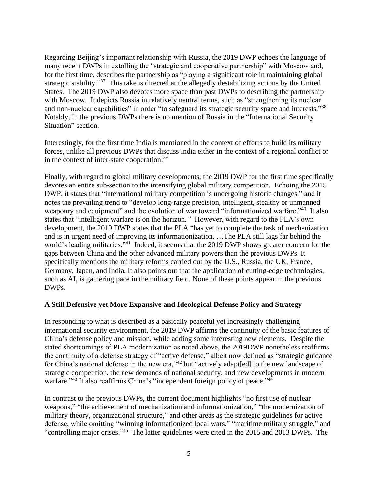Regarding Beijing's important relationship with Russia, the 2019 DWP echoes the language of many recent DWPs in extolling the "strategic and cooperative partnership" with Moscow and, for the first time, describes the partnership as "playing a significant role in maintaining global strategic stability."<sup>37</sup> This take is directed at the allegedly destabilizing actions by the United States. The 2019 DWP also devotes more space than past DWPs to describing the partnership with Moscow. It depicts Russia in relatively neutral terms, such as "strengthening its nuclear and non-nuclear capabilities" in order "to safeguard its strategic security space and interests*.*" 38 Notably, in the previous DWPs there is no mention of Russia in the "International Security Situation" section.

Interestingly, for the first time India is mentioned in the context of efforts to build its military forces, unlike all previous DWPs that discuss India either in the context of a regional conflict or in the context of inter-state cooperation.<sup>39</sup>

Finally, with regard to global military developments, the 2019 DWP for the first time specifically devotes an entire sub-section to the intensifying global military competition. Echoing the 2015 DWP, it states that "international military competition is undergoing historic changes*,*" and it notes the prevailing trend to "develop long-range precision, intelligent, stealthy or unmanned weaponry and equipment" and the evolution of war toward "informationized warfare."<sup>40</sup> It also states that "intelligent warfare is on the horizon*."* However, with regard to the PLA's own development, the 2019 DWP states that the PLA "has yet to complete the task of mechanization and is in urgent need of improving its informationization. …The PLA still lags far behind the world's leading militaries."<sup>41</sup> Indeed, it seems that the 2019 DWP shows greater concern for the gaps between China and the other advanced military powers than the previous DWPs. It specifically mentions the military reforms carried out by the U.S., Russia, the UK, France, Germany, Japan, and India. It also points out that the application of cutting-edge technologies, such as AI, is gathering pace in the military field. None of these points appear in the previous DWPs.

### **A Still Defensive yet More Expansive and Ideological Defense Policy and Strategy**

In responding to what is described as a basically peaceful yet increasingly challenging international security environment, the 2019 DWP affirms the continuity of the basic features of China's defense policy and mission, while adding some interesting new elements. Despite the stated shortcomings of PLA modernization as noted above, the 2019DWP nonetheless reaffirms the continuity of a defense strategy of "active defense," albeit now defined as "strategic guidance for China's national defense in the new era,"<sup>42</sup> but "actively adapt[ed] to the new landscape of strategic competition, the new demands of national security, and new developments in modern warfare."<sup>43</sup> It also reaffirms China's "independent foreign policy of peace."<sup>44</sup>

In contrast to the previous DWPs, the current document highlights "no first use of nuclear weapons," "the achievement of mechanization and informationization," "the modernization of military theory, organizational structure," and other areas as the strategic guidelines for active defense, while omitting "winning informationized local wars," "maritime military struggle," and "controlling major crises."<sup>45</sup> The latter guidelines were cited in the 2015 and 2013 DWPs. The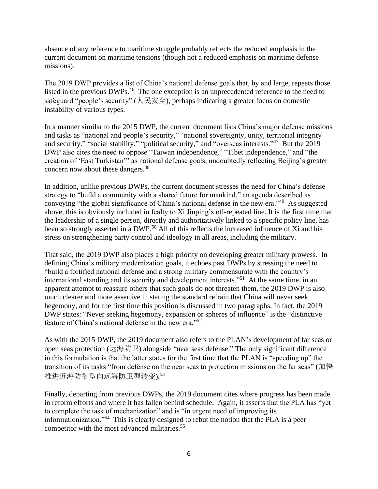absence of any reference to maritime struggle probably reflects the reduced emphasis in the current document on maritime tensions (though not a reduced emphasis on maritime defense missions).

The 2019 DWP provides a list of China's national defense goals that, by and large, repeats those listed in the previous DWPs.<sup>46</sup> The one exception is an unprecedented reference to the need to safeguard "people's security" (人民安全), perhaps indicating a greater focus on domestic instability of various types.

In a manner similar to the 2015 DWP, the current document lists China's major defense missions and tasks as "national and people's security," "national sovereignty, unity, territorial integrity and security." "social stability." "political security," and "overseas interests."<sup>47</sup> But the 2019 DWP also cites the need to oppose "Taiwan independence," "Tibet independence," and "the creation of 'East Turkistan'" as national defense goals, undoubtedly reflecting Beijing's greater concern now about these dangers.<sup>48</sup>

In addition, unlike previous DWPs, the current document stresses the need for China's defense strategy to "build a community with a shared future for mankind," an agenda described as conveying "the global significance of China's national defense in the new era."<sup>49</sup> As suggested above, this is obviously included in fealty to Xi Jinping's oft-repeated line. It is the first time that the leadership of a single person, directly and authoritatively linked to a specific policy line, has been so strongly asserted in a DWP.<sup>50</sup> All of this reflects the increased influence of Xi and his stress on strengthening party control and ideology in all areas, including the military.

That said, the 2019 DWP also places a high priority on developing greater military prowess. In defining China's military modernization goals, it echoes past DWPs by stressing the need to "build a fortified national defense and a strong military commensurate with the country's international standing and its security and development interests."<sup>51</sup> At the same time, in an apparent attempt to reassure others that such goals do not threaten them, the 2019 DWP is also much clearer and more assertive in stating the standard refrain that China will never seek hegemony, and for the first time this position is discussed in two paragraphs. In fact, the 2019 DWP states: "Never seeking hegemony, expansion or spheres of influence" is the "distinctive" feature of China's national defense in the new era." 52

As with the 2015 DWP, the 2019 document also refers to the PLAN's development of far seas or open seas protection (远海防卫) alongside "near seas defense." The only significant difference in this formulation is that the latter states for the first time that the PLAN is "speeding up" the transition of its tasks "from defense on the near seas to protection missions on the far seas" (加快 推进近海防御型向远海防卫型转变). 53

Finally, departing from previous DWPs, the 2019 document cites where progress has been made in reform efforts and where it has fallen behind schedule. Again, it asserts that the PLA has "yet to complete the task of mechanization" and is "in urgent need of improving its informationization."<sup>54</sup> This is clearly designed to rebut the notion that the PLA is a peer competitor with the most advanced militaries.<sup>55</sup>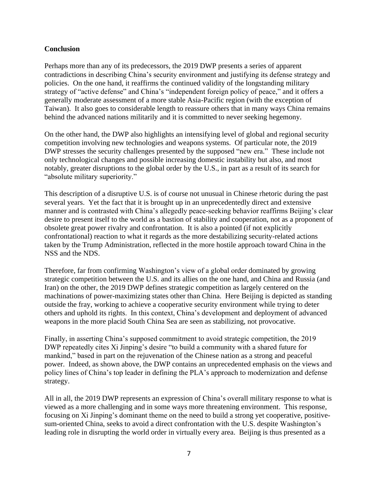## **Conclusion**

Perhaps more than any of its predecessors, the 2019 DWP presents a series of apparent contradictions in describing China's security environment and justifying its defense strategy and policies. On the one hand, it reaffirms the continued validity of the longstanding military strategy of "active defense" and China's "independent foreign policy of peace," and it offers a generally moderate assessment of a more stable Asia-Pacific region (with the exception of Taiwan). It also goes to considerable length to reassure others that in many ways China remains behind the advanced nations militarily and it is committed to never seeking hegemony.

On the other hand, the DWP also highlights an intensifying level of global and regional security competition involving new technologies and weapons systems. Of particular note, the 2019 DWP stresses the security challenges presented by the supposed "new era." These include not only technological changes and possible increasing domestic instability but also, and most notably, greater disruptions to the global order by the U.S., in part as a result of its search for "absolute military superiority."

This description of a disruptive U.S. is of course not unusual in Chinese rhetoric during the past several years. Yet the fact that it is brought up in an unprecedentedly direct and extensive manner and is contrasted with China's allegedly peace-seeking behavior reaffirms Beijing's clear desire to present itself to the world as a bastion of stability and cooperation, not as a proponent of obsolete great power rivalry and confrontation. It is also a pointed (if not explicitly confrontational) reaction to what it regards as the more destabilizing security-related actions taken by the Trump Administration, reflected in the more hostile approach toward China in the NSS and the NDS.

Therefore, far from confirming Washington's view of a global order dominated by growing strategic competition between the U.S. and its allies on the one hand, and China and Russia (and Iran) on the other, the 2019 DWP defines strategic competition as largely centered on the machinations of power-maximizing states other than China. Here Beijing is depicted as standing outside the fray, working to achieve a cooperative security environment while trying to deter others and uphold its rights. In this context, China's development and deployment of advanced weapons in the more placid South China Sea are seen as stabilizing, not provocative.

Finally, in asserting China's supposed commitment to avoid strategic competition, the 2019 DWP repeatedly cites Xi Jinping's desire "to build a community with a shared future for mankind," based in part on the rejuvenation of the Chinese nation as a strong and peaceful power. Indeed, as shown above, the DWP contains an unprecedented emphasis on the views and policy lines of China's top leader in defining the PLA's approach to modernization and defense strategy.

All in all, the 2019 DWP represents an expression of China's overall military response to what is viewed as a more challenging and in some ways more threatening environment. This response, focusing on Xi Jinping's dominant theme on the need to build a strong yet cooperative, positivesum-oriented China, seeks to avoid a direct confrontation with the U.S. despite Washington's leading role in disrupting the world order in virtually every area. Beijing is thus presented as a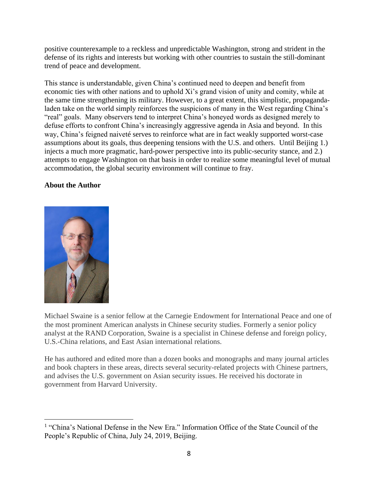positive counterexample to a reckless and unpredictable Washington, strong and strident in the defense of its rights and interests but working with other countries to sustain the still-dominant trend of peace and development.

This stance is understandable, given China's continued need to deepen and benefit from economic ties with other nations and to uphold Xi's grand vision of unity and comity, while at the same time strengthening its military. However, to a great extent, this simplistic, propagandaladen take on the world simply reinforces the suspicions of many in the West regarding China's "real" goals. Many observers tend to interpret China's honeyed words as designed merely to defuse efforts to confront China's increasingly aggressive agenda in Asia and beyond. In this way, China's feigned naiveté serves to reinforce what are in fact weakly supported worst-case assumptions about its goals, thus deepening tensions with the U.S. and others. Until Beijing 1.) injects a much more pragmatic, hard-power perspective into its public-security stance, and 2.) attempts to engage Washington on that basis in order to realize some meaningful level of mutual accommodation, the global security environment will continue to fray.

# **About the Author**



Michael Swaine is a senior fellow at the Carnegie Endowment for International Peace and one of the most prominent American analysts in Chinese security studies. Formerly a senior policy analyst at the RAND Corporation, Swaine is a specialist in Chinese defense and foreign policy, U.S.-China relations, and East Asian international relations.

He has authored and edited more than a dozen books and monographs and many journal articles and book chapters in these areas, directs several security-related projects with Chinese partners, and advises the U.S. government on Asian security issues. He received his doctorate in government from Harvard University.

<sup>&</sup>lt;sup>1</sup> "China's National Defense in the New Era." Information Office of the State Council of the People's Republic of China, July 24, 2019, Beijing.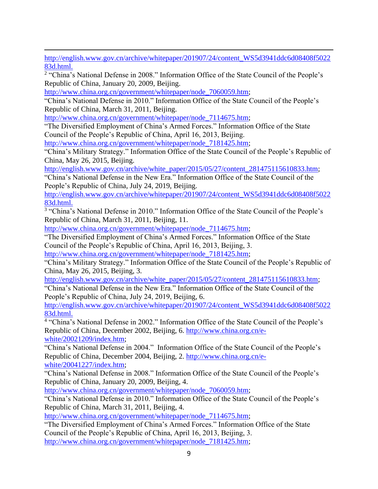[http://english.www.gov.cn/archive/whitepaper/201907/24/content\\_WS5d3941ddc6d08408f5022](http://english.www.gov.cn/archive/whitepaper/201907/24/content_WS5d3941ddc6d08408f502283d.html) [83d.html.](http://english.www.gov.cn/archive/whitepaper/201907/24/content_WS5d3941ddc6d08408f502283d.html)

<sup>2</sup> "China's National Defense in 2008." Information Office of the State Council of the People's Republic of China, January 20, 2009, Beijing.

[http://www.china.org.cn/government/whitepaper/node\\_7060059.htm;](http://www.china.org.cn/government/whitepaper/node_7060059.htm)

"China's National Defense in 2010." Information Office of the State Council of the People's Republic of China, March 31, 2011, Beijing.

[http://www.china.org.cn/government/whitepaper/node\\_7114675.htm;](http://www.china.org.cn/government/whitepaper/node_7114675.htm)

"The Diversified Employment of China's Armed Forces." Information Office of the State Council of the People's Republic of China, April 16, 2013, Beijing.

[http://www.china.org.cn/government/whitepaper/node\\_7181425.htm;](http://www.china.org.cn/government/whitepaper/node_7181425.htm)

"China's Military Strategy." Information Office of the State Council of the People's Republic of China, May 26, 2015, Beijing.

[http://english.www.gov.cn/archive/white\\_paper/2015/05/27/content\\_281475115610833.htm;](http://english.www.gov.cn/archive/white_paper/2015/05/27/content_281475115610833.htm)

"China's National Defense in the New Era." Information Office of the State Council of the People's Republic of China, July 24, 2019, Beijing.

[http://english.www.gov.cn/archive/whitepaper/201907/24/content\\_WS5d3941ddc6d08408f5022](http://english.www.gov.cn/archive/whitepaper/201907/24/content_WS5d3941ddc6d08408f502283d.html) [83d.html.](http://english.www.gov.cn/archive/whitepaper/201907/24/content_WS5d3941ddc6d08408f502283d.html)

<sup>3</sup> "China's National Defense in 2010." Information Office of the State Council of the People's Republic of China, March 31, 2011, Beijing, 11.

[http://www.china.org.cn/government/whitepaper/node\\_7114675.htm;](http://www.china.org.cn/government/whitepaper/node_7114675.htm)

"The Diversified Employment of China's Armed Forces." Information Office of the State Council of the People's Republic of China, April 16, 2013, Beijing, 3.

[http://www.china.org.cn/government/whitepaper/node\\_7181425.htm;](http://www.china.org.cn/government/whitepaper/node_7181425.htm)

"China's Military Strategy." Information Office of the State Council of the People's Republic of China, May 26, 2015, Beijing, 3.

[http://english.www.gov.cn/archive/white\\_paper/2015/05/27/content\\_281475115610833.htm;](http://english.www.gov.cn/archive/white_paper/2015/05/27/content_281475115610833.htm)

"China's National Defense in the New Era." Information Office of the State Council of the People's Republic of China, July 24, 2019, Beijing, 6.

[http://english.www.gov.cn/archive/whitepaper/201907/24/content\\_WS5d3941ddc6d08408f5022](http://english.www.gov.cn/archive/whitepaper/201907/24/content_WS5d3941ddc6d08408f502283d.html) [83d.html.](http://english.www.gov.cn/archive/whitepaper/201907/24/content_WS5d3941ddc6d08408f502283d.html)

<sup>4</sup> "China's National Defense in 2002." Information Office of the State Council of the People's Republic of China, December 2002, Beijing, 6. [http://www.china.org.cn/e](http://www.china.org.cn/e-white/20021209/index.htm)[white/20021209/index.htm;](http://www.china.org.cn/e-white/20021209/index.htm)

"China's National Defense in 2004." Information Office of the State Council of the People's Republic of China, December 2004, Beijing, 2. [http://www.china.org.cn/e](http://www.china.org.cn/e-white/20041227/index.htm)[white/20041227/index.htm;](http://www.china.org.cn/e-white/20041227/index.htm)

"China's National Defense in 2008." Information Office of the State Council of the People's Republic of China, January 20, 2009, Beijing, 4.

[http://www.china.org.cn/government/whitepaper/node\\_7060059.htm;](http://www.china.org.cn/government/whitepaper/node_7060059.htm)

"China's National Defense in 2010." Information Office of the State Council of the People's Republic of China, March 31, 2011, Beijing, 4.

[http://www.china.org.cn/government/whitepaper/node\\_7114675.htm;](http://www.china.org.cn/government/whitepaper/node_7114675.htm)

"The Diversified Employment of China's Armed Forces." Information Office of the State Council of the People's Republic of China, April 16, 2013, Beijing, 3. [http://www.china.org.cn/government/whitepaper/node\\_7181425.htm;](http://www.china.org.cn/government/whitepaper/node_7181425.htm)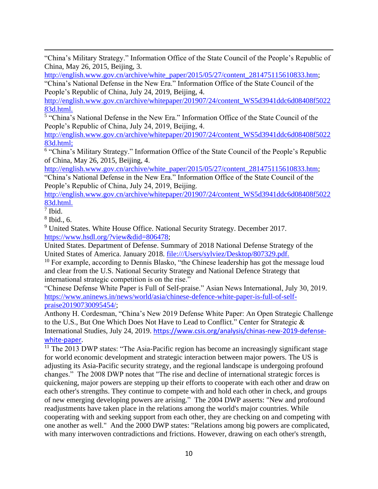"China's Military Strategy." Information Office of the State Council of the People's Republic of China, May 26, 2015, Beijing, 3.

[http://english.www.gov.cn/archive/white\\_paper/2015/05/27/content\\_281475115610833.htm;](http://english.www.gov.cn/archive/white_paper/2015/05/27/content_281475115610833.htm)

"China's National Defense in the New Era." Information Office of the State Council of the People's Republic of China, July 24, 2019, Beijing, 4.

[http://english.www.gov.cn/archive/whitepaper/201907/24/content\\_WS5d3941ddc6d08408f5022](http://english.www.gov.cn/archive/whitepaper/201907/24/content_WS5d3941ddc6d08408f502283d.html) [83d.html.](http://english.www.gov.cn/archive/whitepaper/201907/24/content_WS5d3941ddc6d08408f502283d.html)

<sup>5</sup> "China's National Defense in the New Era." Information Office of the State Council of the People's Republic of China, July 24, 2019, Beijing, 4.

[http://english.www.gov.cn/archive/whitepaper/201907/24/content\\_WS5d3941ddc6d08408f5022](http://english.www.gov.cn/archive/whitepaper/201907/24/content_WS5d3941ddc6d08408f502283d.html) [83d.html;](http://english.www.gov.cn/archive/whitepaper/201907/24/content_WS5d3941ddc6d08408f502283d.html)

<sup>6</sup> "China's Military Strategy." Information Office of the State Council of the People's Republic of China, May 26, 2015, Beijing, 4.

[http://english.www.gov.cn/archive/white\\_paper/2015/05/27/content\\_281475115610833.htm;](http://english.www.gov.cn/archive/white_paper/2015/05/27/content_281475115610833.htm)

"China's National Defense in the New Era." Information Office of the State Council of the People's Republic of China, July 24, 2019, Beijing.

[http://english.www.gov.cn/archive/whitepaper/201907/24/content\\_WS5d3941ddc6d08408f5022](http://english.www.gov.cn/archive/whitepaper/201907/24/content_WS5d3941ddc6d08408f502283d.html) [83d.html.](http://english.www.gov.cn/archive/whitepaper/201907/24/content_WS5d3941ddc6d08408f502283d.html)

7 Ibid.

8 Ibid., 6.

<sup>9</sup> United States. White House Office. National Security Strategy. December 2017. [https://www.hsdl.org/?view&did=806478;](https://www.hsdl.org/?view&did=806478)

United States. Department of Defense. Summary of 2018 National Defense Strategy of the United States of America. January 2018. [file:///Users/sylviez/Desktop/807329.pdf.](file:///C:/Users/sylviez/Desktop/807329.pdf)

<sup>10</sup> For example, according to Dennis Blasko, "the Chinese leadership has got the message loud and clear from the U.S. National Security Strategy and National Defence Strategy that international strategic competition is on the rise."

"Chinese Defense White Paper is Full of Self-praise." Asian News International, July 30, 2019. [https://www.aninews.in/news/world/asia/chinese-defence-white-paper-is-full-of-self](https://www.aninews.in/news/world/asia/chinese-defence-white-paper-is-full-of-self-praise20190730095454/)[praise20190730095454/;](https://www.aninews.in/news/world/asia/chinese-defence-white-paper-is-full-of-self-praise20190730095454/)

Anthony H. Cordesman, "China's New 2019 Defense White Paper: An Open Strategic Challenge to the U.S., But One Which Does Not Have to Lead to Conflict." Center for Strategic & International Studies, July 24, 2019. [https://www.csis.org/analysis/chinas-new-2019-defense](https://www.csis.org/analysis/chinas-new-2019-defense-white-paper)[white-paper](https://www.csis.org/analysis/chinas-new-2019-defense-white-paper).

<sup>11</sup> The 2013 DWP states: "The Asia-Pacific region has become an increasingly significant stage for world economic development and strategic interaction between major powers. The US is adjusting its Asia-Pacific security strategy, and the regional landscape is undergoing profound changes." The 2008 DWP notes that "The rise and decline of international strategic forces is quickening, major powers are stepping up their efforts to cooperate with each other and draw on each other's strengths. They continue to compete with and hold each other in check, and groups of new emerging developing powers are arising." The 2004 DWP asserts: "New and profound readjustments have taken place in the relations among the world's major countries. While cooperating with and seeking support from each other, they are checking on and competing with one another as well." And the 2000 DWP states: "Relations among big powers are complicated, with many interwoven contradictions and frictions. However, drawing on each other's strength,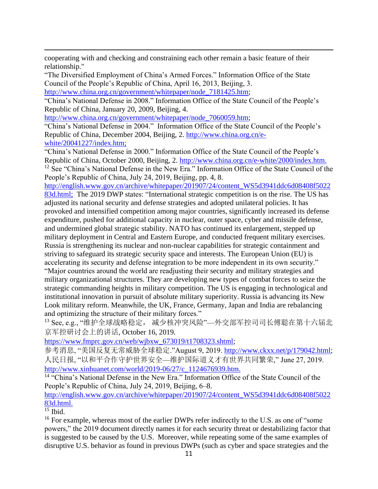cooperating with and checking and constraining each other remain a basic feature of their relationship."

"The Diversified Employment of China's Armed Forces." Information Office of the State Council of the People's Republic of China, April 16, 2013, Beijing, 3. [http://www.china.org.cn/government/whitepaper/node\\_7181425.htm;](http://www.china.org.cn/government/whitepaper/node_7181425.htm)

"China's National Defense in 2008." Information Office of the State Council of the People's Republic of China, January 20, 2009, Beijing, 4.

[http://www.china.org.cn/government/whitepaper/node\\_7060059.htm;](http://www.china.org.cn/government/whitepaper/node_7060059.htm)

"China's National Defense in 2004." Information Office of the State Council of the People's Republic of China, December 2004, Beijing, 2. [http://www.china.org.cn/e](http://www.china.org.cn/e-white/20041227/index.htm)[white/20041227/index.htm;](http://www.china.org.cn/e-white/20041227/index.htm)

"China's National Defense in 2000." Information Office of the State Council of the People's Republic of China, October 2000, Beijing, 2. [http://www.china.org.cn/e-white/2000/index.htm.](http://www.china.org.cn/e-white/2000/index.htm) <sup>12</sup> See "China's National Defense in the New Era." Information Office of the State Council of the People's Republic of China, July 24, 2019, Beijing, pp. 4, 8.

[http://english.www.gov.cn/archive/whitepaper/201907/24/content\\_WS5d3941ddc6d08408f5022](http://english.www.gov.cn/archive/whitepaper/201907/24/content_WS5d3941ddc6d08408f502283d.html) [83d.html;](http://english.www.gov.cn/archive/whitepaper/201907/24/content_WS5d3941ddc6d08408f502283d.html) The 2019 DWP states: "International strategic competition is on the rise. The US has adjusted its national security and defense strategies and adopted unilateral policies. It has provoked and intensified competition among major countries, significantly increased its defense expenditure, pushed for additional capacity in nuclear, outer space, cyber and missile defense, and undermined global strategic stability. NATO has continued its enlargement, stepped up military deployment in Central and Eastern Europe, and conducted frequent military exercises. Russia is strengthening its nuclear and non-nuclear capabilities for strategic containment and striving to safeguard its strategic security space and interests. The European Union (EU) is accelerating its security and defense integration to be more independent in its own security." "Major countries around the world are readjusting their security and military strategies and military organizational structures. They are developing new types of combat forces to seize the strategic commanding heights in military competition. The US is engaging in technological and institutional innovation in pursuit of absolute military superiority. Russia is advancing its New Look military reform. Meanwhile, the UK, France, Germany, Japan and India are rebalancing and optimizing the structure of their military forces."

13 See, e.g., "维护全球战略稳定, 减少核冲突风险"—外交部军控司司长傅聪在第十六届北 京军控研讨会上的讲话, October 16, 2019.

[https://www.fmprc.gov.cn/web/wjbxw\\_673019/t1708323.shtml;](https://www.fmprc.gov.cn/web/wjbxw_673019/t1708323.shtml)

参考消息, "美国反复无常威胁全球稳定."August 9, 2019. [http://www.ckxx.net/p/179042.html;](http://www.ckxx.net/p/179042.html) 人民日报, "以和平合作守护世界安全—维护国际道义才有世界共同繁荣," June 27, 2019. [http://www.xinhuanet.com/world/2019-06/27/c\\_1124676939.htm.](http://www.xinhuanet.com/world/2019-06/27/c_1124676939.htm)

<sup>14</sup> "China's National Defense in the New Era." Information Office of the State Council of the People's Republic of China, July 24, 2019, Beijing, 6–8.

[http://english.www.gov.cn/archive/whitepaper/201907/24/content\\_WS5d3941ddc6d08408f5022](http://english.www.gov.cn/archive/whitepaper/201907/24/content_WS5d3941ddc6d08408f502283d.html) [83d.html.](http://english.www.gov.cn/archive/whitepaper/201907/24/content_WS5d3941ddc6d08408f502283d.html)

 $15$  Ibid.

<sup>16</sup> For example, whereas most of the earlier DWPs refer indirectly to the U.S. as one of "some" powers," the 2019 document directly names it for each security threat or destabilizing factor that is suggested to be caused by the U.S. Moreover, while repeating some of the same examples of disruptive U.S. behavior as found in previous DWPs (such as cyber and space strategies and the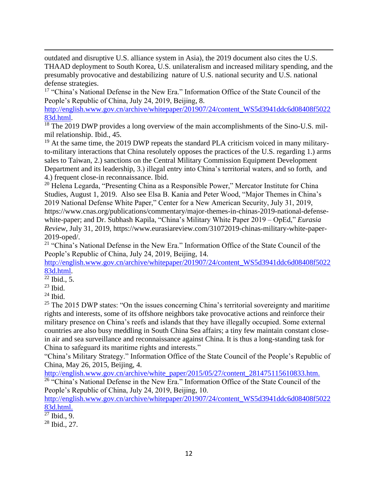outdated and disruptive U.S. alliance system in Asia), the 2019 document also cites the U.S. THAAD deployment to South Korea, U.S. unilateralism and increased military spending, and the presumably provocative and destabilizing nature of U.S. national security and U.S. national defense strategies.

<sup>17</sup> "China's National Defense in the New Era." Information Office of the State Council of the People's Republic of China, July 24, 2019, Beijing, 8.

[http://english.www.gov.cn/archive/whitepaper/201907/24/content\\_WS5d3941ddc6d08408f5022](http://english.www.gov.cn/archive/whitepaper/201907/24/content_WS5d3941ddc6d08408f502283d.html) [83d.html.](http://english.www.gov.cn/archive/whitepaper/201907/24/content_WS5d3941ddc6d08408f502283d.html)

<sup>18</sup> The 2019 DWP provides a long overview of the main accomplishments of the Sino-U.S. milmil relationship. Ibid., 45.

 $19$  At the same time, the 2019 DWP repeats the standard PLA criticism voiced in many militaryto-military interactions that China resolutely opposes the practices of the U.S. regarding 1.) arms sales to Taiwan, 2.) sanctions on the Central Military Commission Equipment Development Department and its leadership, 3.) illegal entry into China's territorial waters, and so forth, and 4.) frequent close-in reconnaissance. Ibid.

<sup>20</sup> Helena Legarda, "Presenting China as a Responsible Power," Mercator Institute for China Studies, August 1, 201[9.](https://www.merics.org/en/blog/presenting-china-responsible-power) Also see Elsa B. Kania and Peter Wood, "Major Themes in China's 2019 National Defense White Paper," Center for a New American Security, July 31, 2019, https://www.cnas.org/publications/commentary/major-themes-in-chinas-2019-national-defense-

white-paper; and Dr. Subhash Kapila, "China's Military White Paper 2019 – OpEd," *Eurasia Review*, July 31, 2019, https://www.eurasiareview.com/31072019-chinas-military-white-paper-2019-oped/.

<sup>21</sup> "China's National Defense in the New Era." Information Office of the State Council of the People's Republic of China, July 24, 2019, Beijing, 14.

[http://english.www.gov.cn/archive/whitepaper/201907/24/content\\_WS5d3941ddc6d08408f5022](http://english.www.gov.cn/archive/whitepaper/201907/24/content_WS5d3941ddc6d08408f502283d.html) [83d.html.](http://english.www.gov.cn/archive/whitepaper/201907/24/content_WS5d3941ddc6d08408f502283d.html)

 $\overline{\text{22}}$  Ibid., 5.

 $23$  Ibid.

 $24$  Ibid.

<sup>25</sup> The 2015 DWP states: "On the issues concerning China's territorial sovereignty and maritime rights and interests, some of its offshore neighbors take provocative actions and reinforce their military presence on China's reefs and islands that they have illegally occupied. Some external countries are also busy meddling in South China Sea affairs; a tiny few maintain constant closein air and sea surveillance and reconnaissance against China. It is thus a long-standing task for China to safeguard its maritime rights and interests."

"China's Military Strategy." Information Office of the State Council of the People's Republic of China, May 26, 2015, Beijing, 4.

[http://english.www.gov.cn/archive/white\\_paper/2015/05/27/content\\_281475115610833.htm.](http://english.www.gov.cn/archive/white_paper/2015/05/27/content_281475115610833.htm) <sup>26</sup> "China's National Defense in the New Era." Information Office of the State Council of the People's Republic of China, July 24, 2019, Beijing, 10.

[http://english.www.gov.cn/archive/whitepaper/201907/24/content\\_WS5d3941ddc6d08408f5022](http://english.www.gov.cn/archive/whitepaper/201907/24/content_WS5d3941ddc6d08408f502283d.html) [83d.html.](http://english.www.gov.cn/archive/whitepaper/201907/24/content_WS5d3941ddc6d08408f502283d.html)

 $27$  Ibid., 9.

 $28$  Ibid., 27.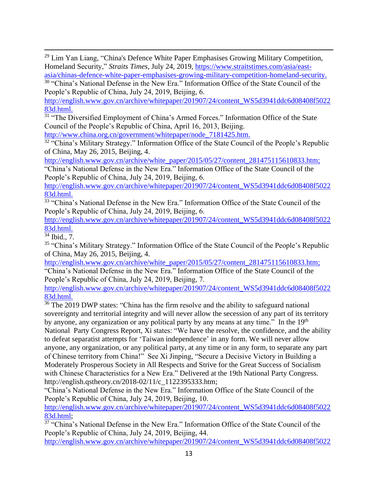<sup>29</sup> Lim Yan Liang, "China's Defence White Paper Emphasises Growing Military Competition, Homeland Security," *Straits Times*, July 24, 2019, [https://www.straitstimes.com/asia/east](https://www.straitstimes.com/asia/east-asia/chinas-defence-white-paper-emphasises-growing-military-competition-homeland-security)[asia/chinas-defence-white-paper-emphasises-growing-military-competition-homeland-security.](https://www.straitstimes.com/asia/east-asia/chinas-defence-white-paper-emphasises-growing-military-competition-homeland-security)

<sup>30</sup> "China's National Defense in the New Era." Information Office of the State Council of the People's Republic of China, July 24, 2019, Beijing, 6.

[http://english.www.gov.cn/archive/whitepaper/201907/24/content\\_WS5d3941ddc6d08408f5022](http://english.www.gov.cn/archive/whitepaper/201907/24/content_WS5d3941ddc6d08408f502283d.html) [83d.html.](http://english.www.gov.cn/archive/whitepaper/201907/24/content_WS5d3941ddc6d08408f502283d.html)

<sup>31</sup> "The Diversified Employment of China's Armed Forces." Information Office of the State Council of the People's Republic of China, April 16, 2013, Beijing.

[http://www.china.org.cn/government/whitepaper/node\\_7181425.htm.](http://www.china.org.cn/government/whitepaper/node_7181425.htm)

<sup>32</sup> "China's Military Strategy." Information Office of the State Council of the People's Republic of China, May 26, 2015, Beijing, 4.

[http://english.www.gov.cn/archive/white\\_paper/2015/05/27/content\\_281475115610833.htm;](http://english.www.gov.cn/archive/white_paper/2015/05/27/content_281475115610833.htm)

"China's National Defense in the New Era." Information Office of the State Council of the People's Republic of China, July 24, 2019, Beijing, 6.

[http://english.www.gov.cn/archive/whitepaper/201907/24/content\\_WS5d3941ddc6d08408f5022](http://english.www.gov.cn/archive/whitepaper/201907/24/content_WS5d3941ddc6d08408f502283d.html) [83d.html.](http://english.www.gov.cn/archive/whitepaper/201907/24/content_WS5d3941ddc6d08408f502283d.html)

<sup>33</sup> "China's National Defense in the New Era." Information Office of the State Council of the People's Republic of China, July 24, 2019, Beijing, 6.

[http://english.www.gov.cn/archive/whitepaper/201907/24/content\\_WS5d3941ddc6d08408f5022](http://english.www.gov.cn/archive/whitepaper/201907/24/content_WS5d3941ddc6d08408f502283d.html) [83d.html.](http://english.www.gov.cn/archive/whitepaper/201907/24/content_WS5d3941ddc6d08408f502283d.html)

<sup>34</sup> Ibid., 7.

<sup>35</sup> "China's Military Strategy." Information Office of the State Council of the People's Republic of China, May 26, 2015, Beijing, 4.

[http://english.www.gov.cn/archive/white\\_paper/2015/05/27/content\\_281475115610833.htm;](http://english.www.gov.cn/archive/white_paper/2015/05/27/content_281475115610833.htm)

"China's National Defense in the New Era." Information Office of the State Council of the People's Republic of China, July 24, 2019, Beijing, 7.

[http://english.www.gov.cn/archive/whitepaper/201907/24/content\\_WS5d3941ddc6d08408f5022](http://english.www.gov.cn/archive/whitepaper/201907/24/content_WS5d3941ddc6d08408f502283d.html) [83d.html.](http://english.www.gov.cn/archive/whitepaper/201907/24/content_WS5d3941ddc6d08408f502283d.html)

 $36$  The 2019 DWP states: "China has the firm resolve and the ability to safeguard national sovereignty and territorial integrity and will never allow the secession of any part of its territory by anyone, any organization or any political party by any means at any time." In the 19<sup>th</sup> National Party Congress Report, Xi states: "We have the resolve, the confidence, and the ability to defeat separatist attempts for 'Taiwan independence' in any form. We will never allow anyone, any organization, or any political party, at any time or in any form, to separate any part of Chinese territory from China!" See Xi Jinping, "Secure a Decisive Victory in Building a Moderately Prosperous Society in All Respects and Strive for the Great Success of Socialism with Chinese Characteristics for a New Era." Delivered at the 19th National Party Congress. http://english.qstheory.cn/2018-02/11/c\_1122395333.htm;

"China's National Defense in the New Era." Information Office of the State Council of the People's Republic of China, July 24, 2019, Beijing, 10.

[http://english.www.gov.cn/archive/whitepaper/201907/24/content\\_WS5d3941ddc6d08408f5022](http://english.www.gov.cn/archive/whitepaper/201907/24/content_WS5d3941ddc6d08408f502283d.html) [83d.html;](http://english.www.gov.cn/archive/whitepaper/201907/24/content_WS5d3941ddc6d08408f502283d.html)

<sup>37</sup> "China's National Defense in the New Era." Information Office of the State Council of the People's Republic of China, July 24, 2019, Beijing, 44.

[http://english.www.gov.cn/archive/whitepaper/201907/24/content\\_WS5d3941ddc6d08408f5022](http://english.www.gov.cn/archive/whitepaper/201907/24/content_WS5d3941ddc6d08408f502283d.html)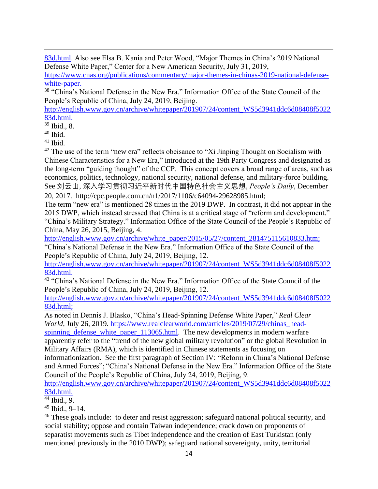[83d.html.](http://english.www.gov.cn/archive/whitepaper/201907/24/content_WS5d3941ddc6d08408f502283d.html) Also see Elsa B. Kania and Peter Wood, "Major Themes in China's 2019 National Defense White Paper," Center for a New American Security, July 31, 2019,

[https://www.cnas.org/publications/commentary/major-themes-in-chinas-2019-national-defense](https://www.cnas.org/publications/commentary/major-themes-in-chinas-2019-national-defense-white-paper)[white-paper.](https://www.cnas.org/publications/commentary/major-themes-in-chinas-2019-national-defense-white-paper)

<sup>38</sup> "China's National Defense in the New Era." Information Office of the State Council of the People's Republic of China, July 24, 2019, Beijing.

[http://english.www.gov.cn/archive/whitepaper/201907/24/content\\_WS5d3941ddc6d08408f5022](http://english.www.gov.cn/archive/whitepaper/201907/24/content_WS5d3941ddc6d08408f502283d.html) [83d.html.](http://english.www.gov.cn/archive/whitepaper/201907/24/content_WS5d3941ddc6d08408f502283d.html)

<sup>39</sup> Ibid., 8.

<sup>40</sup> Ibid.

 $41$  Ibid.

 $42$  The use of the term "new era" reflects obeisance to "Xi Jinping Thought on Socialism with Chinese Characteristics for a New Era," introduced at the 19th Party Congress and designated as the long-term "guiding thought" of the CCP. This concept covers a broad range of areas, such as economics, politics, technology, national security, national defense, and military-force building. See 刘云山, [深入学习贯彻习近平新时代中国特色社会主义思想](http://politics.people.com.cn/n1/2017/1106/c1024-29627813.html), *People's Daily*, December 20, 2017. http://cpc.people.com.cn/n1/2017/1106/c64094-29628985.html;

The term "new era" is mentioned 28 times in the 2019 DWP. In contrast, it did not appear in the 2015 DWP, which instead stressed that China is at a critical stage of "reform and development." "China's Military Strategy." Information Office of the State Council of the People's Republic of China, May 26, 2015, Beijing, 4.

[http://english.www.gov.cn/archive/white\\_paper/2015/05/27/content\\_281475115610833.htm;](http://english.www.gov.cn/archive/white_paper/2015/05/27/content_281475115610833.htm) "China's National Defense in the New Era." Information Office of the State Council of the People's Republic of China, July 24, 2019, Beijing, 12.

[http://english.www.gov.cn/archive/whitepaper/201907/24/content\\_WS5d3941ddc6d08408f5022](http://english.www.gov.cn/archive/whitepaper/201907/24/content_WS5d3941ddc6d08408f502283d.html) [83d.html.](http://english.www.gov.cn/archive/whitepaper/201907/24/content_WS5d3941ddc6d08408f502283d.html)

<sup>43</sup> "China's National Defense in the New Era." Information Office of the State Council of the People's Republic of China, July 24, 2019, Beijing, 12.

[http://english.www.gov.cn/archive/whitepaper/201907/24/content\\_WS5d3941ddc6d08408f5022](http://english.www.gov.cn/archive/whitepaper/201907/24/content_WS5d3941ddc6d08408f502283d.html) [83d.html;](http://english.www.gov.cn/archive/whitepaper/201907/24/content_WS5d3941ddc6d08408f502283d.html)

As noted in Dennis J. Blasko, "China's Head-Spinning Defense White Paper," *Real Clear World*, July 26, 2019. [https://www.realclearworld.com/articles/2019/07/29/chinas\\_head](https://www.realclearworld.com/articles/2019/07/29/chinas_head-spinning_defense_white_paper_113065.html)spinning defense white paper 113065.html. The new developments in modern warfare

apparently refer to the "trend of the new global military revolution" or the global Revolution in Military Affairs (RMA), which is identified in Chinese statements as focusing on

informationization. See the first paragraph of Section IV: "Reform in China's National Defense and Armed Forces"; "China's National Defense in the New Era." Information Office of the State Council of the People's Republic of China, July 24, 2019, Beijing, 9.

[http://english.www.gov.cn/archive/whitepaper/201907/24/content\\_WS5d3941ddc6d08408f5022](http://english.www.gov.cn/archive/whitepaper/201907/24/content_WS5d3941ddc6d08408f502283d.html) [83d.html.](http://english.www.gov.cn/archive/whitepaper/201907/24/content_WS5d3941ddc6d08408f502283d.html)

 $44$  Ibid., 9.

 $45$  Ibid., 9–14.

<sup>46</sup> These goals include: to deter and resist aggression; safeguard national political security, and social stability; oppose and contain Taiwan independence; crack down on proponents of separatist movements such as Tibet independence and the creation of East Turkistan (only mentioned previously in the 2010 DWP); safeguard national sovereignty, unity, territorial